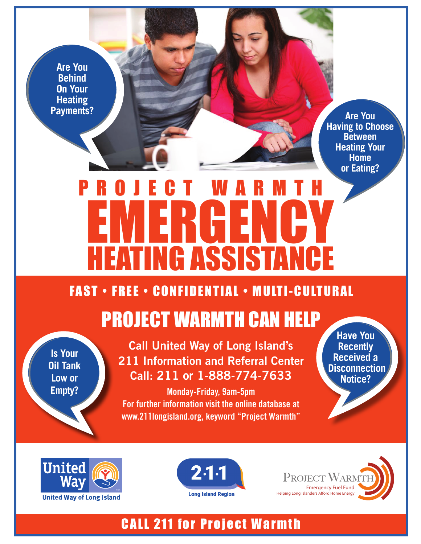**Are You Behind On Your Heating Payments?**

**Are You Having to Choose Between Heating Your Home or Eating?**

# PROJECT WARMTH EMERGENCY **HEATING ASSISTANCE**

#### FAST • FREE • CONFIDENTIAL • MULTI-CULTURAL

### PROJECT WARMTH CAN HELP

**Is Your Oil Tank Low or Empty?**

**Call United Way of Long Island's 211 Information and Referral Center Call: 211 or 1-888-774-7633**

**Monday-Friday, 9am-5pm For further information visit the online database at www.211longisland.org, keyword "Project Warmth"**

**Have You Recently Received a Disconnection Notice?**







#### CALL 211 for Project Warmth